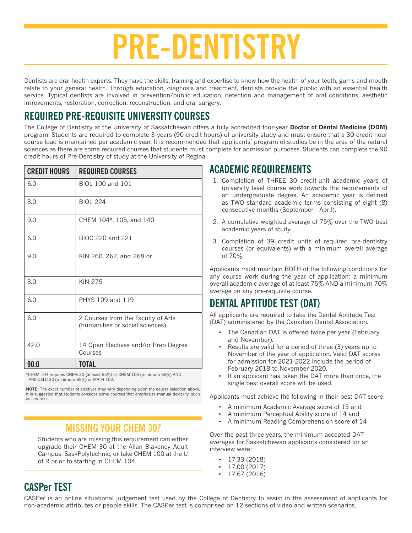# **PRE-DENTISTRY**

Dentists are oral health experts. They have the skills, training and expertise to know how the health of your teeth, gums and mouth relate to your general health. Through education, diagnosis and treatment, dentists provide the public with an essential health service. Typical dentists are involved in prevention/public education, detection and management of oral conditions, aesthetic imrovements, restoration, correction, reconstruction, and oral surgery.

#### **REQUIRED PRE-REQUISITE UNIVERSITY COURSES**

The College of Dentistry at the University of Saskatchewan offers a fully accredited four-year **Doctor of Dental Medicine (DDM)**  program. Students are required to complete 3-years (90-credit hours) of university study and must ensure that a 30-credit hour course load is maintained per academic year. It is recommended that applicants' program of studies be in the area of the natural sciences as there are some required courses that students must complete for admission purposes. Students can complete the 90 credit hours of Pre-Dentistry of study at the University of Regina.

| <b>CREDIT HOURS</b> | <b>REQUIRED COURSES</b>                                               |  |  |
|---------------------|-----------------------------------------------------------------------|--|--|
| 6.0                 | BIOL 100 and 101                                                      |  |  |
| 3.0                 | <b>BIOL 224</b>                                                       |  |  |
| 9.0                 | CHEM 104*, 105, and 140                                               |  |  |
| 6.0                 | BIOC 220 and 221                                                      |  |  |
| 9.0                 | KIN 260, 267, and 268 or                                              |  |  |
| 3.0                 | <b>KIN 275</b>                                                        |  |  |
| 6.0                 | PHYS 109 and 119                                                      |  |  |
| 6.0                 | 2 Courses from the Faculty of Arts<br>(humanities or social sciences) |  |  |
| 42.0                | 14 Open Electives and/or Prep Degree<br>Courses                       |  |  |
| 90.0                | TOTAL                                                                 |  |  |

\*CHEM 104 requires CHEM 30 (at least 65%) or CHEM 100 (minimum 65%) AND PRE-CALC 30 (minimum 65%) or MATH 102.

**NOTE:** The exact number of electives may vary depending upon the course selection above. It is suggested that students consider some courses that emphasize manual dexterity, such as ceramics.

#### **MISSING YOUR CHEM 30?**

Students who are missing this requirement can either upgrade their CHEM 30 at the Allan Blakeney Adult Campus, SaskPolytechnic, or take CHEM 100 at the U of R prior to starting in CHEM 104.

#### **ACADEMIC REQUIREMENTS**

- 1. Completion of THREE 30 credit-unit academic years of university level course work towards the requirements of an undergraduate degree. An academic year is defined as TWO standard academic terms consisting of eight (8) consecutive months (September - April).
- 2. A cumulative weighted average of 75% over the TWO best academic years of study.
- 3. Completion of 39 credit units of required pre-dentistry courses (or equivalents) with a minimum overall average of 70%.

Applicants must maintain BOTH of the following conditions for any course work during the year of application: a minimum overall academic average of at least 75% AND a minimum 70% average on any pre-requisite course.

#### **DENTAL APTITUDE TEST (DAT)**

All applicants are required to take the Dental Aptitude Test (DAT) administered by the Canadian Dental Association.

- The Canadian DAT is offered twice per year (February and November).
- Results are valid for a period of three (3) years up to November of the year of application. Valid DAT scores for admission for 2021-2022 include the period of February 2018 to November 2020.
- If an applicant has taken the DAT more than once, the single best overall score will be used.

Applicants must achieve the following in their best DAT score:

- A minimum Academic Average score of 15 and
- A minimum Perceptual Ability score of 14 and
- A minimum Reading Comprehension score of 14

Over the past three years, the minimum accepted DAT averages for Saskatchewan applicants considered for an interview were:

- 17.33 (2018)
- $\cdot$  17.00 (2017)
- $\cdot$  17.67 (2016)

#### **CASPer TEST**

CASPer is an online situational judgement test used by the College of Dentistry to assist in the assessment of applicants for non-academic attributes or people skills. The CASPer test is comprised on 12 sections of video and written scenarios.